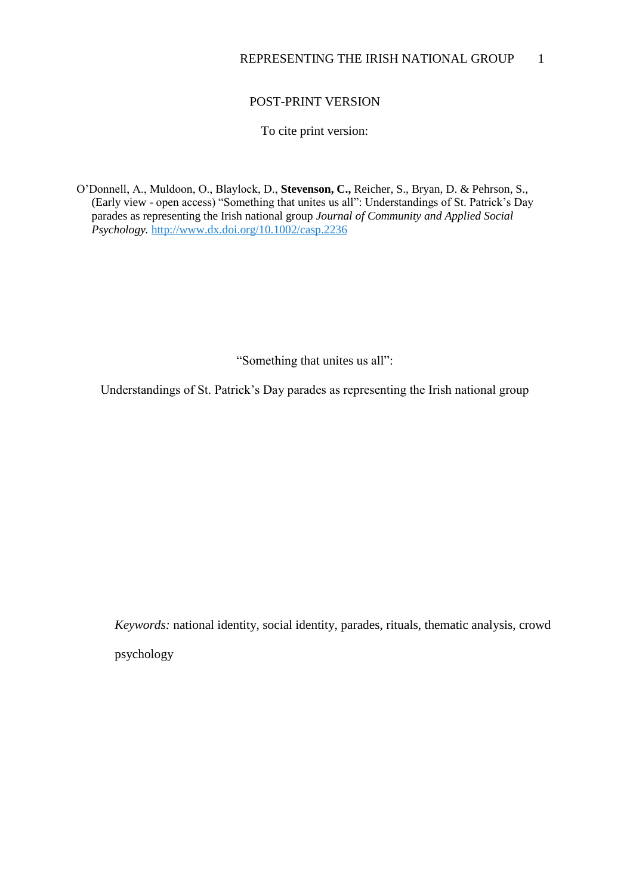# POST-PRINT VERSION

To cite print version:

O'Donnell, A., Muldoon, O., Blaylock, D., **Stevenson, C.,** Reicher, S., Bryan, D. & Pehrson, S., (Early view - open access) "Something that unites us all": Understandings of St. Patrick's Day parades as representing the Irish national group *Journal of Community and Applied Social Psychology.* [http://www.dx.doi.org/10.1002/casp.2236](https://webmail.anglia.ac.uk/owa/redir.aspx?SURL=yWCfstw73vbzr2F0mGwUCQe5ryGJrks7do-uwc0aSeupC0YN-lbSCGgAdAB0AHAAOgAvAC8AdwB3AHcALgBkAHgALgBkAG8AaQAuAG8AcgBnAC8AMQAwAC4AMQAwADAAMgAvAGMAYQBzAHAALgAyADIAMwA2AA..&URL=http%3a%2f%2fwww.dx.doi.org%2f10.1002%2fcasp.2236)

"Something that unites us all":

Understandings of St. Patrick's Day parades as representing the Irish national group

*Keywords:* national identity, social identity, parades, rituals, thematic analysis, crowd psychology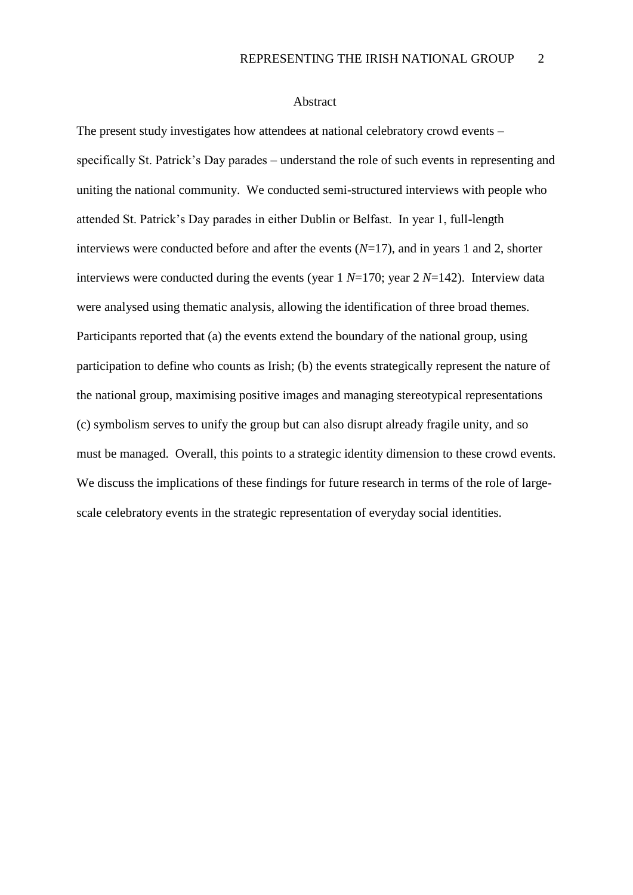#### Abstract

The present study investigates how attendees at national celebratory crowd events – specifically St. Patrick's Day parades – understand the role of such events in representing and uniting the national community. We conducted semi-structured interviews with people who attended St. Patrick's Day parades in either Dublin or Belfast. In year 1, full-length interviews were conducted before and after the events (*N*=17), and in years 1 and 2, shorter interviews were conducted during the events (year 1 *N*=170; year 2 *N*=142). Interview data were analysed using thematic analysis, allowing the identification of three broad themes. Participants reported that (a) the events extend the boundary of the national group, using participation to define who counts as Irish; (b) the events strategically represent the nature of the national group, maximising positive images and managing stereotypical representations (c) symbolism serves to unify the group but can also disrupt already fragile unity, and so must be managed. Overall, this points to a strategic identity dimension to these crowd events. We discuss the implications of these findings for future research in terms of the role of largescale celebratory events in the strategic representation of everyday social identities.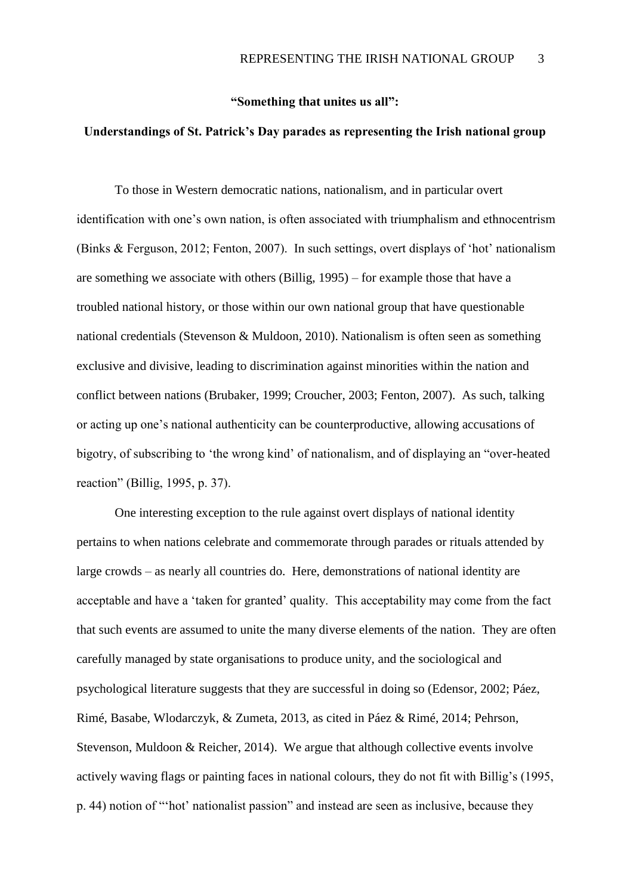## **"Something that unites us all":**

## **Understandings of St. Patrick's Day parades as representing the Irish national group**

To those in Western democratic nations, nationalism, and in particular overt identification with one's own nation, is often associated with triumphalism and ethnocentrism (Binks & Ferguson, 2012; Fenton, 2007). In such settings, overt displays of 'hot' nationalism are something we associate with others (Billig, 1995) – for example those that have a troubled national history, or those within our own national group that have questionable national credentials (Stevenson & Muldoon, 2010). Nationalism is often seen as something exclusive and divisive, leading to discrimination against minorities within the nation and conflict between nations (Brubaker, 1999; Croucher, 2003; Fenton, 2007). As such, talking or acting up one's national authenticity can be counterproductive, allowing accusations of bigotry, of subscribing to 'the wrong kind' of nationalism, and of displaying an "over-heated reaction" (Billig, 1995, p. 37).

One interesting exception to the rule against overt displays of national identity pertains to when nations celebrate and commemorate through parades or rituals attended by large crowds – as nearly all countries do. Here, demonstrations of national identity are acceptable and have a 'taken for granted' quality. This acceptability may come from the fact that such events are assumed to unite the many diverse elements of the nation. They are often carefully managed by state organisations to produce unity, and the sociological and psychological literature suggests that they are successful in doing so (Edensor, 2002; Páez, Rimé, Basabe, Wlodarczyk, & Zumeta, 2013, as cited in Páez & Rimé, 2014; Pehrson, Stevenson, Muldoon & Reicher, 2014). We argue that although collective events involve actively waving flags or painting faces in national colours, they do not fit with Billig's (1995, p. 44) notion of "'hot' nationalist passion" and instead are seen as inclusive, because they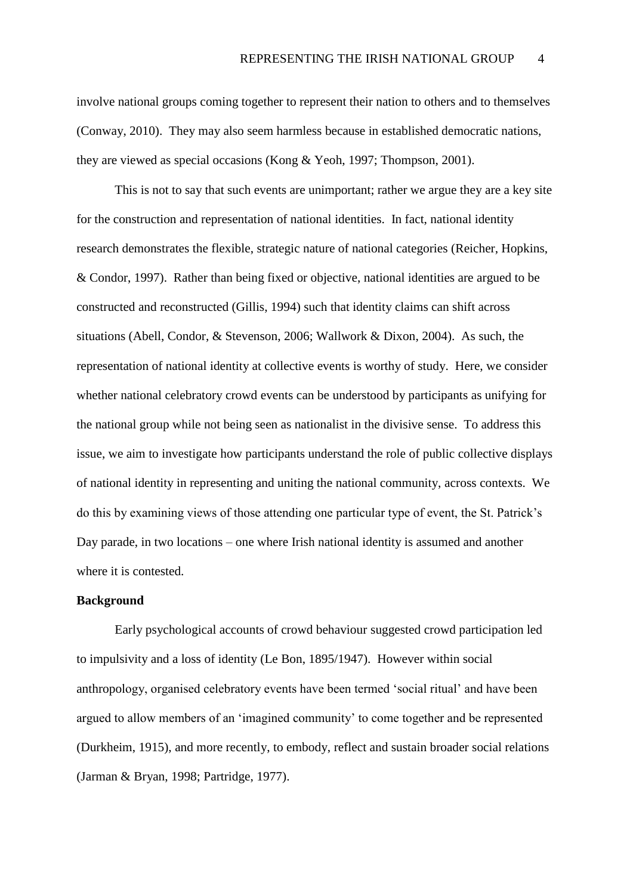involve national groups coming together to represent their nation to others and to themselves (Conway, 2010). They may also seem harmless because in established democratic nations, they are viewed as special occasions (Kong & Yeoh, 1997; Thompson, 2001).

This is not to say that such events are unimportant; rather we argue they are a key site for the construction and representation of national identities. In fact, national identity research demonstrates the flexible, strategic nature of national categories (Reicher, Hopkins, & Condor, 1997). Rather than being fixed or objective, national identities are argued to be constructed and reconstructed (Gillis, 1994) such that identity claims can shift across situations (Abell, Condor, & Stevenson, 2006; Wallwork & Dixon, 2004). As such, the representation of national identity at collective events is worthy of study. Here, we consider whether national celebratory crowd events can be understood by participants as unifying for the national group while not being seen as nationalist in the divisive sense. To address this issue, we aim to investigate how participants understand the role of public collective displays of national identity in representing and uniting the national community, across contexts. We do this by examining views of those attending one particular type of event, the St. Patrick's Day parade, in two locations – one where Irish national identity is assumed and another where it is contested.

## **Background**

Early psychological accounts of crowd behaviour suggested crowd participation led to impulsivity and a loss of identity (Le Bon, 1895/1947). However within social anthropology, organised celebratory events have been termed 'social ritual' and have been argued to allow members of an 'imagined community' to come together and be represented (Durkheim, 1915), and more recently, to embody, reflect and sustain broader social relations (Jarman & Bryan, 1998; Partridge, 1977).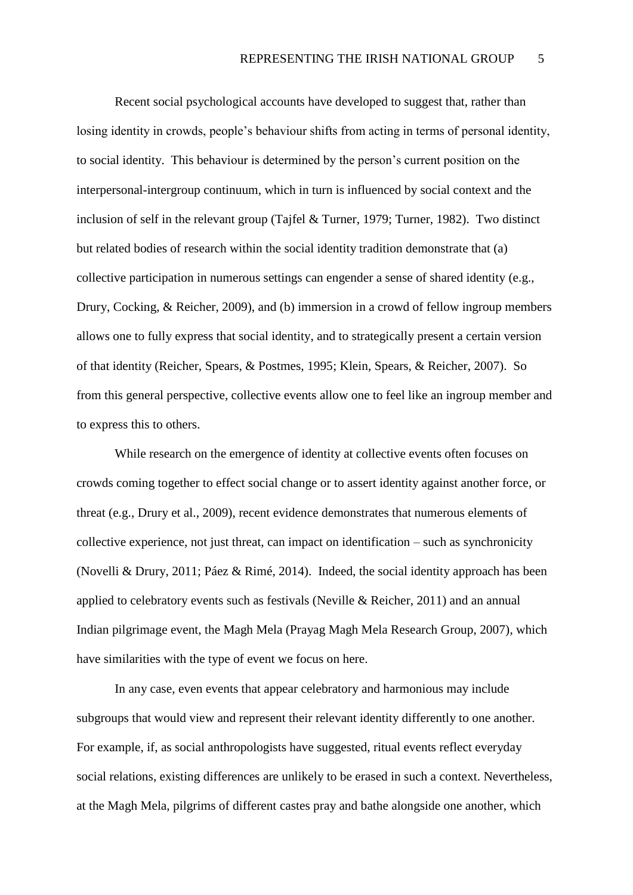Recent social psychological accounts have developed to suggest that, rather than losing identity in crowds, people's behaviour shifts from acting in terms of personal identity, to social identity. This behaviour is determined by the person's current position on the interpersonal-intergroup continuum, which in turn is influenced by social context and the inclusion of self in the relevant group (Tajfel & Turner, 1979; Turner, 1982). Two distinct but related bodies of research within the social identity tradition demonstrate that (a) collective participation in numerous settings can engender a sense of shared identity (e.g., Drury, Cocking, & Reicher, 2009), and (b) immersion in a crowd of fellow ingroup members allows one to fully express that social identity, and to strategically present a certain version of that identity (Reicher, Spears, & Postmes, 1995; Klein, Spears, & Reicher, 2007). So from this general perspective, collective events allow one to feel like an ingroup member and to express this to others.

While research on the emergence of identity at collective events often focuses on crowds coming together to effect social change or to assert identity against another force, or threat (e.g., Drury et al., 2009), recent evidence demonstrates that numerous elements of collective experience, not just threat, can impact on identification – such as synchronicity (Novelli & Drury, 2011; Páez & Rimé, 2014). Indeed, the social identity approach has been applied to celebratory events such as festivals (Neville & Reicher, 2011) and an annual Indian pilgrimage event, the Magh Mela (Prayag Magh Mela Research Group, 2007), which have similarities with the type of event we focus on here.

In any case, even events that appear celebratory and harmonious may include subgroups that would view and represent their relevant identity differently to one another. For example, if, as social anthropologists have suggested, ritual events reflect everyday social relations, existing differences are unlikely to be erased in such a context. Nevertheless, at the Magh Mela, pilgrims of different castes pray and bathe alongside one another, which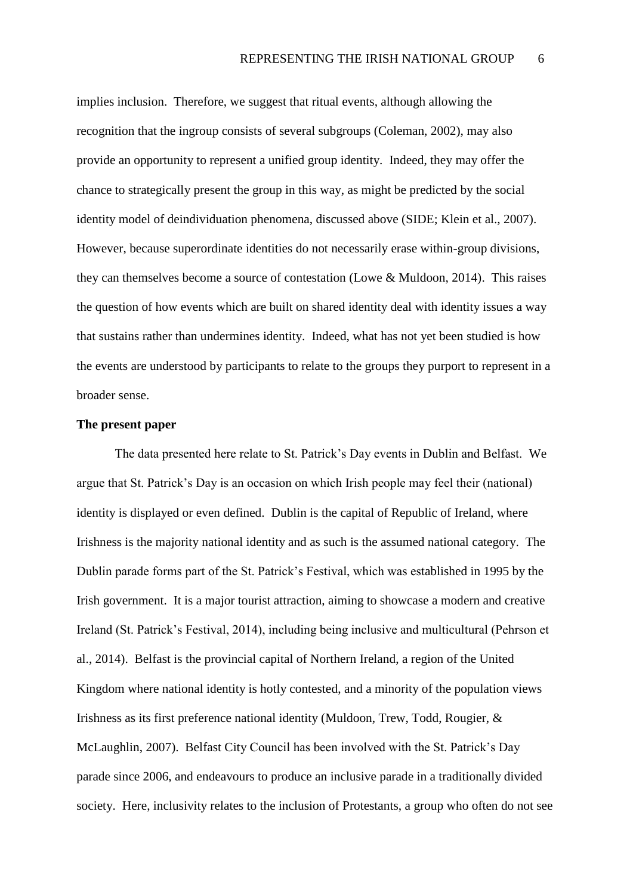implies inclusion. Therefore, we suggest that ritual events, although allowing the recognition that the ingroup consists of several subgroups (Coleman, 2002), may also provide an opportunity to represent a unified group identity. Indeed, they may offer the chance to strategically present the group in this way, as might be predicted by the social identity model of deindividuation phenomena, discussed above (SIDE; Klein et al., 2007). However, because superordinate identities do not necessarily erase within-group divisions, they can themselves become a source of contestation (Lowe & Muldoon, 2014). This raises the question of how events which are built on shared identity deal with identity issues a way that sustains rather than undermines identity. Indeed, what has not yet been studied is how the events are understood by participants to relate to the groups they purport to represent in a broader sense.

## **The present paper**

The data presented here relate to St. Patrick's Day events in Dublin and Belfast. We argue that St. Patrick's Day is an occasion on which Irish people may feel their (national) identity is displayed or even defined. Dublin is the capital of Republic of Ireland, where Irishness is the majority national identity and as such is the assumed national category. The Dublin parade forms part of the St. Patrick's Festival, which was established in 1995 by the Irish government. It is a major tourist attraction, aiming to showcase a modern and creative Ireland (St. Patrick's Festival, 2014), including being inclusive and multicultural (Pehrson et al., 2014). Belfast is the provincial capital of Northern Ireland, a region of the United Kingdom where national identity is hotly contested, and a minority of the population views Irishness as its first preference national identity (Muldoon, Trew, Todd, Rougier, & McLaughlin, 2007). Belfast City Council has been involved with the St. Patrick's Day parade since 2006, and endeavours to produce an inclusive parade in a traditionally divided society. Here, inclusivity relates to the inclusion of Protestants, a group who often do not see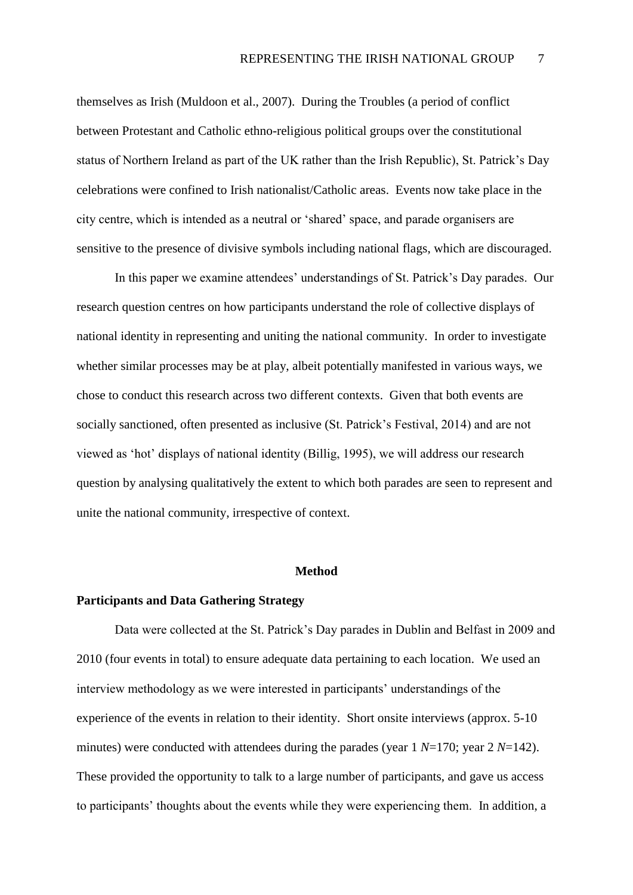themselves as Irish (Muldoon et al., 2007). During the Troubles (a period of conflict between Protestant and Catholic ethno-religious political groups over the constitutional status of Northern Ireland as part of the UK rather than the Irish Republic), St. Patrick's Day celebrations were confined to Irish nationalist/Catholic areas. Events now take place in the city centre, which is intended as a neutral or 'shared' space, and parade organisers are sensitive to the presence of divisive symbols including national flags, which are discouraged.

In this paper we examine attendees' understandings of St. Patrick's Day parades. Our research question centres on how participants understand the role of collective displays of national identity in representing and uniting the national community. In order to investigate whether similar processes may be at play, albeit potentially manifested in various ways, we chose to conduct this research across two different contexts. Given that both events are socially sanctioned, often presented as inclusive (St. Patrick's Festival, 2014) and are not viewed as 'hot' displays of national identity (Billig, 1995), we will address our research question by analysing qualitatively the extent to which both parades are seen to represent and unite the national community, irrespective of context.

### **Method**

## **Participants and Data Gathering Strategy**

Data were collected at the St. Patrick's Day parades in Dublin and Belfast in 2009 and 2010 (four events in total) to ensure adequate data pertaining to each location. We used an interview methodology as we were interested in participants' understandings of the experience of the events in relation to their identity. Short onsite interviews (approx. 5-10 minutes) were conducted with attendees during the parades (year 1 *N*=170; year 2 *N*=142). These provided the opportunity to talk to a large number of participants, and gave us access to participants' thoughts about the events while they were experiencing them. In addition, a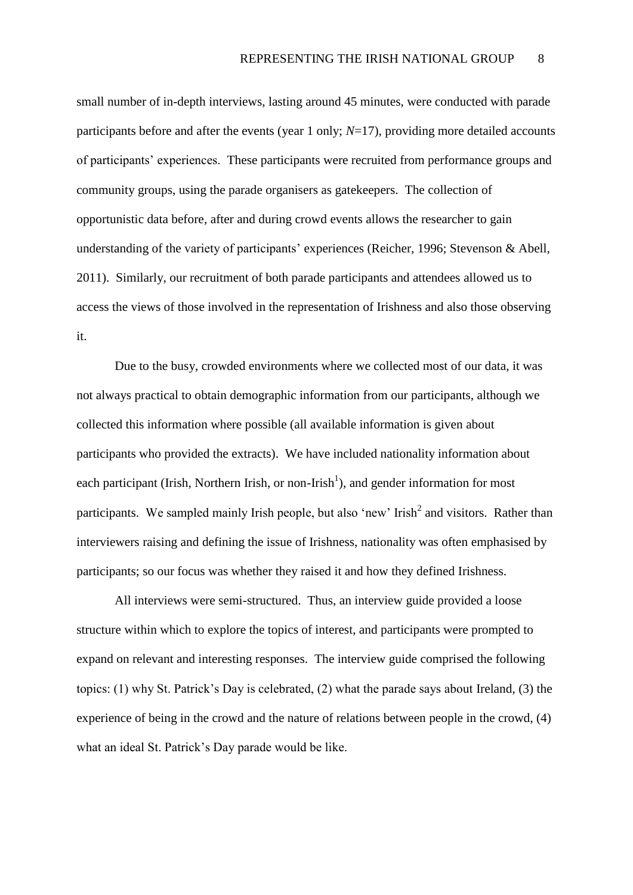small number of in-depth interviews, lasting around 45 minutes, were conducted with parade participants before and after the events (year 1 only; *N*=17), providing more detailed accounts of participants' experiences. These participants were recruited from performance groups and community groups, using the parade organisers as gatekeepers. The collection of opportunistic data before, after and during crowd events allows the researcher to gain understanding of the variety of participants' experiences (Reicher, 1996; Stevenson & Abell, 2011). Similarly, our recruitment of both parade participants and attendees allowed us to access the views of those involved in the representation of Irishness and also those observing it.

Due to the busy, crowded environments where we collected most of our data, it was not always practical to obtain demographic information from our participants, although we collected this information where possible (all available information is given about participants who provided the extracts). We have included nationality information about each participant (Irish, Northern Irish, or non-Irish<sup>1</sup>), and gender information for most participants. We sampled mainly Irish people, but also 'new' Irish<sup>2</sup> and visitors. Rather than interviewers raising and defining the issue of Irishness, nationality was often emphasised by participants; so our focus was whether they raised it and how they defined Irishness.

All interviews were semi-structured. Thus, an interview guide provided a loose structure within which to explore the topics of interest, and participants were prompted to expand on relevant and interesting responses. The interview guide comprised the following topics: (1) why St. Patrick's Day is celebrated, (2) what the parade says about Ireland, (3) the experience of being in the crowd and the nature of relations between people in the crowd, (4) what an ideal St. Patrick's Day parade would be like.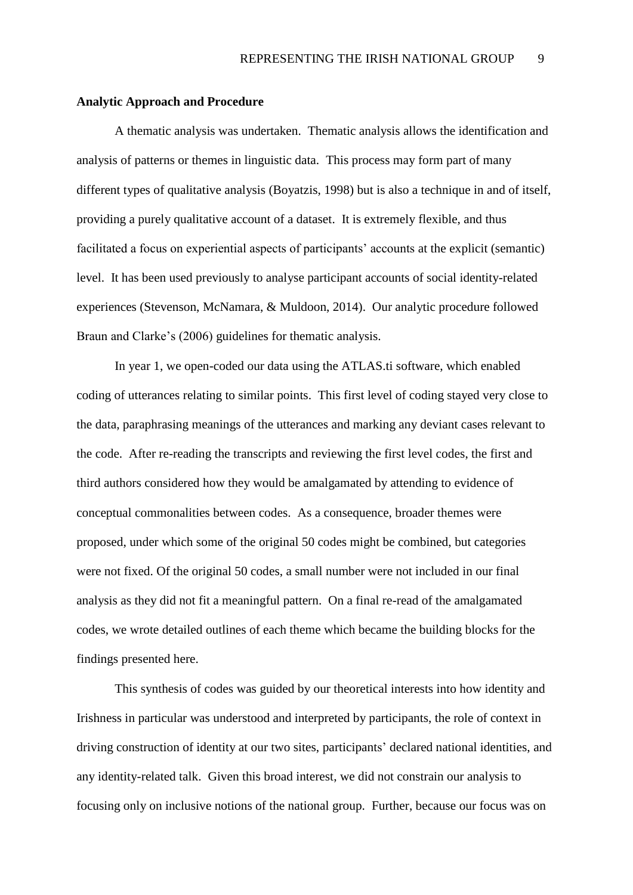#### **Analytic Approach and Procedure**

A thematic analysis was undertaken. Thematic analysis allows the identification and analysis of patterns or themes in linguistic data. This process may form part of many different types of qualitative analysis (Boyatzis, 1998) but is also a technique in and of itself, providing a purely qualitative account of a dataset. It is extremely flexible, and thus facilitated a focus on experiential aspects of participants' accounts at the explicit (semantic) level. It has been used previously to analyse participant accounts of social identity-related experiences (Stevenson, McNamara, & Muldoon, 2014). Our analytic procedure followed Braun and Clarke's (2006) guidelines for thematic analysis.

In year 1, we open-coded our data using the ATLAS.ti software, which enabled coding of utterances relating to similar points. This first level of coding stayed very close to the data, paraphrasing meanings of the utterances and marking any deviant cases relevant to the code. After re-reading the transcripts and reviewing the first level codes, the first and third authors considered how they would be amalgamated by attending to evidence of conceptual commonalities between codes. As a consequence, broader themes were proposed, under which some of the original 50 codes might be combined, but categories were not fixed. Of the original 50 codes, a small number were not included in our final analysis as they did not fit a meaningful pattern. On a final re-read of the amalgamated codes, we wrote detailed outlines of each theme which became the building blocks for the findings presented here.

This synthesis of codes was guided by our theoretical interests into how identity and Irishness in particular was understood and interpreted by participants, the role of context in driving construction of identity at our two sites, participants' declared national identities, and any identity-related talk. Given this broad interest, we did not constrain our analysis to focusing only on inclusive notions of the national group. Further, because our focus was on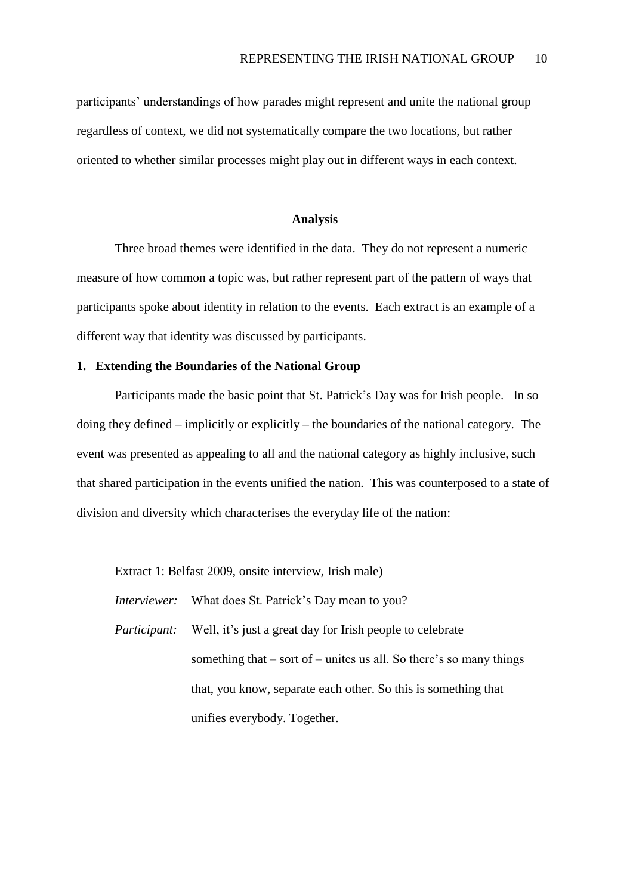participants' understandings of how parades might represent and unite the national group regardless of context, we did not systematically compare the two locations, but rather oriented to whether similar processes might play out in different ways in each context.

#### **Analysis**

Three broad themes were identified in the data. They do not represent a numeric measure of how common a topic was, but rather represent part of the pattern of ways that participants spoke about identity in relation to the events. Each extract is an example of a different way that identity was discussed by participants.

## **1. Extending the Boundaries of the National Group**

Participants made the basic point that St. Patrick's Day was for Irish people. In so doing they defined – implicitly or explicitly – the boundaries of the national category. The event was presented as appealing to all and the national category as highly inclusive, such that shared participation in the events unified the nation. This was counterposed to a state of division and diversity which characterises the everyday life of the nation:

Extract 1: Belfast 2009, onsite interview, Irish male)

*Interviewer:* What does St. Patrick's Day mean to you?

*Participant:* Well, it's just a great day for Irish people to celebrate something that  $-$  sort of  $-$  unites us all. So there's so many things that, you know, separate each other. So this is something that unifies everybody. Together.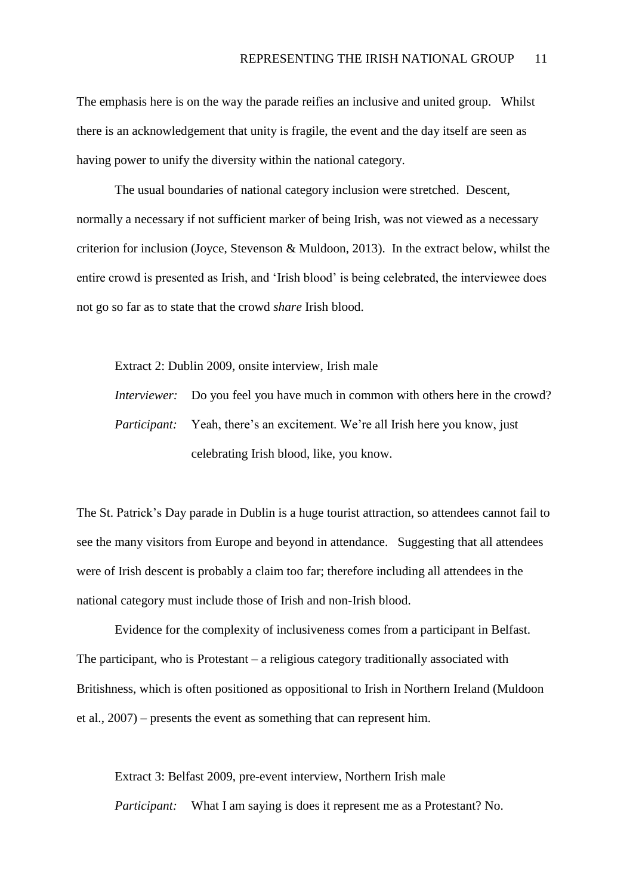The emphasis here is on the way the parade reifies an inclusive and united group. Whilst there is an acknowledgement that unity is fragile, the event and the day itself are seen as having power to unify the diversity within the national category.

The usual boundaries of national category inclusion were stretched. Descent, normally a necessary if not sufficient marker of being Irish, was not viewed as a necessary criterion for inclusion (Joyce, Stevenson & Muldoon, 2013). In the extract below, whilst the entire crowd is presented as Irish, and 'Irish blood' is being celebrated, the interviewee does not go so far as to state that the crowd *share* Irish blood.

Extract 2: Dublin 2009, onsite interview, Irish male

*Interviewer:* Do you feel you have much in common with others here in the crowd? *Participant:* Yeah, there's an excitement. We're all Irish here you know, just celebrating Irish blood, like, you know.

The St. Patrick's Day parade in Dublin is a huge tourist attraction, so attendees cannot fail to see the many visitors from Europe and beyond in attendance. Suggesting that all attendees were of Irish descent is probably a claim too far; therefore including all attendees in the national category must include those of Irish and non-Irish blood.

Evidence for the complexity of inclusiveness comes from a participant in Belfast. The participant, who is Protestant – a religious category traditionally associated with Britishness, which is often positioned as oppositional to Irish in Northern Ireland (Muldoon et al., 2007) – presents the event as something that can represent him.

Extract 3: Belfast 2009, pre-event interview, Northern Irish male *Participant:* What I am saying is does it represent me as a Protestant? No.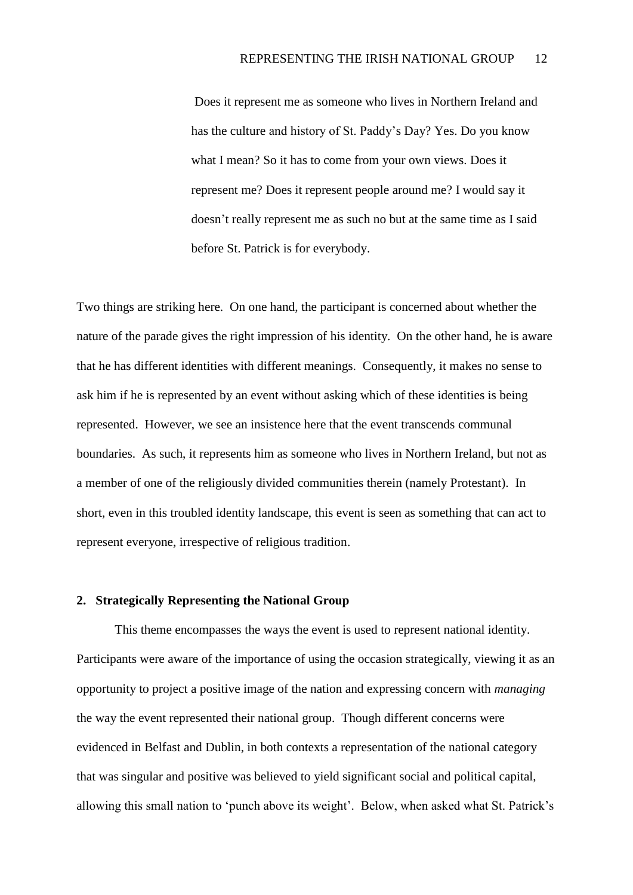Does it represent me as someone who lives in Northern Ireland and has the culture and history of St. Paddy's Day? Yes. Do you know what I mean? So it has to come from your own views. Does it represent me? Does it represent people around me? I would say it doesn't really represent me as such no but at the same time as I said before St. Patrick is for everybody.

Two things are striking here. On one hand, the participant is concerned about whether the nature of the parade gives the right impression of his identity. On the other hand, he is aware that he has different identities with different meanings. Consequently, it makes no sense to ask him if he is represented by an event without asking which of these identities is being represented. However, we see an insistence here that the event transcends communal boundaries. As such, it represents him as someone who lives in Northern Ireland, but not as a member of one of the religiously divided communities therein (namely Protestant). In short, even in this troubled identity landscape, this event is seen as something that can act to represent everyone, irrespective of religious tradition.

## **2. Strategically Representing the National Group**

This theme encompasses the ways the event is used to represent national identity. Participants were aware of the importance of using the occasion strategically, viewing it as an opportunity to project a positive image of the nation and expressing concern with *managing* the way the event represented their national group. Though different concerns were evidenced in Belfast and Dublin, in both contexts a representation of the national category that was singular and positive was believed to yield significant social and political capital, allowing this small nation to 'punch above its weight'. Below, when asked what St. Patrick's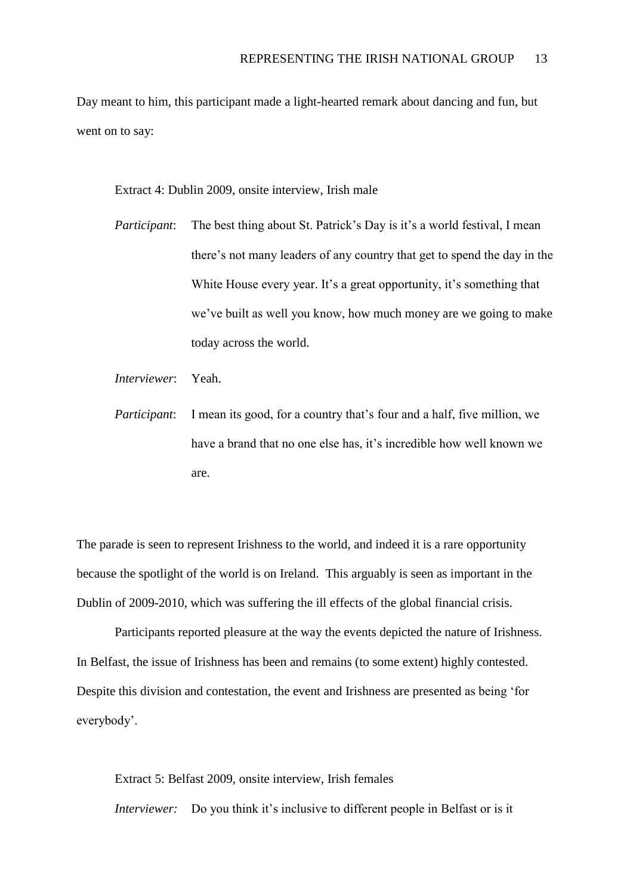Day meant to him, this participant made a light-hearted remark about dancing and fun, but went on to say:

Extract 4: Dublin 2009, onsite interview, Irish male

- *Participant*: The best thing about St. Patrick's Day is it's a world festival, I mean there's not many leaders of any country that get to spend the day in the White House every year. It's a great opportunity, it's something that we've built as well you know, how much money are we going to make today across the world.
- *Interviewer*: Yeah.

*Participant*: I mean its good, for a country that's four and a half, five million, we have a brand that no one else has, it's incredible how well known we are.

The parade is seen to represent Irishness to the world, and indeed it is a rare opportunity because the spotlight of the world is on Ireland. This arguably is seen as important in the Dublin of 2009-2010, which was suffering the ill effects of the global financial crisis.

Participants reported pleasure at the way the events depicted the nature of Irishness. In Belfast, the issue of Irishness has been and remains (to some extent) highly contested. Despite this division and contestation, the event and Irishness are presented as being 'for everybody'.

Extract 5: Belfast 2009, onsite interview, Irish females *Interviewer:* Do you think it's inclusive to different people in Belfast or is it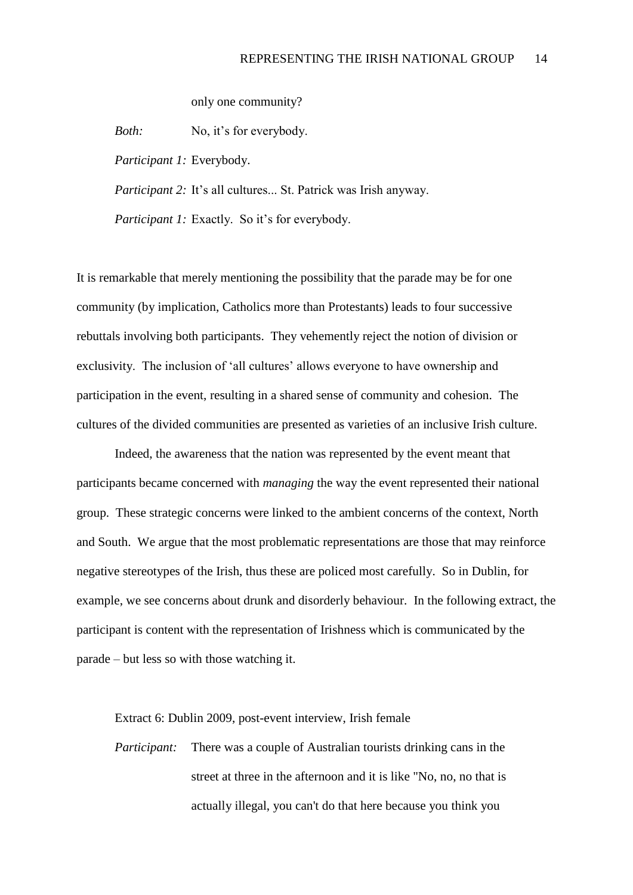only one community?

*Both:* No, it's for everybody.

*Participant 1:* Everybody.

*Participant 2:* It's all cultures... St. Patrick was Irish anyway.

*Participant 1:* Exactly. So it's for everybody.

It is remarkable that merely mentioning the possibility that the parade may be for one community (by implication, Catholics more than Protestants) leads to four successive rebuttals involving both participants. They vehemently reject the notion of division or exclusivity. The inclusion of 'all cultures' allows everyone to have ownership and participation in the event, resulting in a shared sense of community and cohesion. The cultures of the divided communities are presented as varieties of an inclusive Irish culture.

Indeed, the awareness that the nation was represented by the event meant that participants became concerned with *managing* the way the event represented their national group. These strategic concerns were linked to the ambient concerns of the context, North and South. We argue that the most problematic representations are those that may reinforce negative stereotypes of the Irish, thus these are policed most carefully. So in Dublin, for example, we see concerns about drunk and disorderly behaviour. In the following extract, the participant is content with the representation of Irishness which is communicated by the parade – but less so with those watching it.

Extract 6: Dublin 2009, post-event interview, Irish female

*Participant:* There was a couple of Australian tourists drinking cans in the street at three in the afternoon and it is like "No, no, no that is actually illegal, you can't do that here because you think you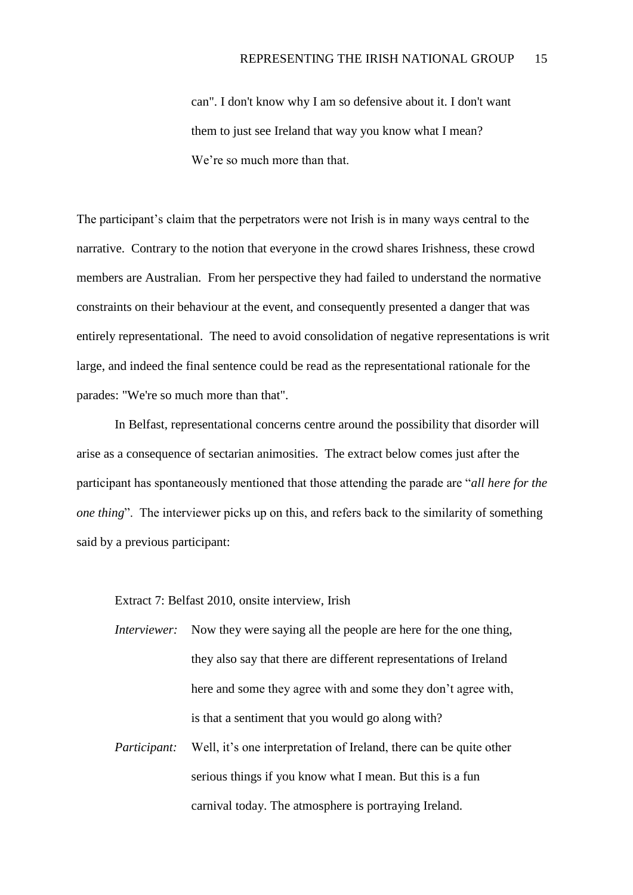can". I don't know why I am so defensive about it. I don't want them to just see Ireland that way you know what I mean? We're so much more than that.

The participant's claim that the perpetrators were not Irish is in many ways central to the narrative. Contrary to the notion that everyone in the crowd shares Irishness, these crowd members are Australian. From her perspective they had failed to understand the normative constraints on their behaviour at the event, and consequently presented a danger that was entirely representational. The need to avoid consolidation of negative representations is writ large, and indeed the final sentence could be read as the representational rationale for the parades: "We're so much more than that".

In Belfast, representational concerns centre around the possibility that disorder will arise as a consequence of sectarian animosities. The extract below comes just after the participant has spontaneously mentioned that those attending the parade are "*all here for the one thing*". The interviewer picks up on this, and refers back to the similarity of something said by a previous participant:

Extract 7: Belfast 2010, onsite interview, Irish

*Interviewer:* Now they were saying all the people are here for the one thing, they also say that there are different representations of Ireland here and some they agree with and some they don't agree with, is that a sentiment that you would go along with?

*Participant:* Well, it's one interpretation of Ireland, there can be quite other serious things if you know what I mean. But this is a fun carnival today. The atmosphere is portraying Ireland.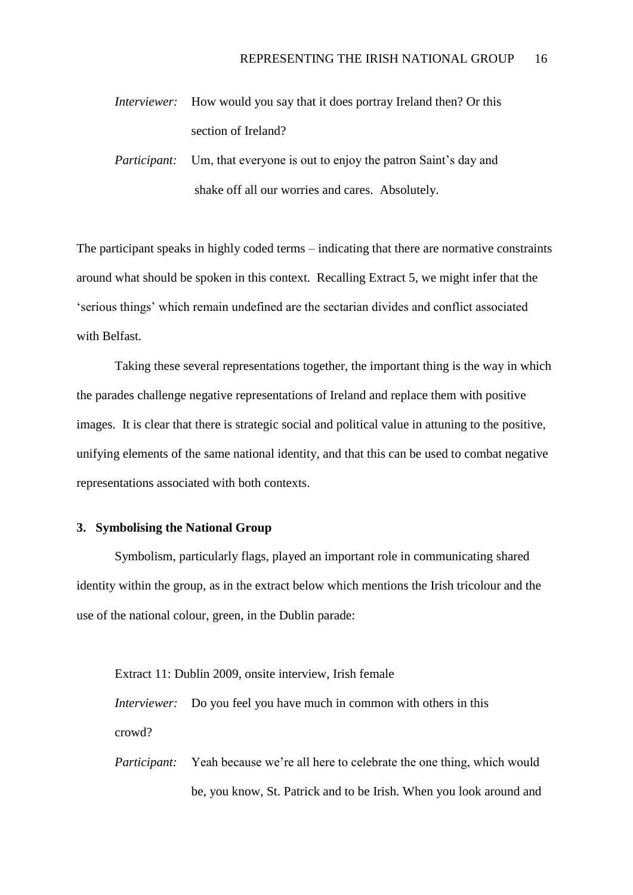- *Interviewer:* How would you say that it does portray Ireland then? Or this section of Ireland?
- *Participant:* Um, that everyone is out to enjoy the patron Saint's day and shake off all our worries and cares. Absolutely.

The participant speaks in highly coded terms – indicating that there are normative constraints around what should be spoken in this context. Recalling Extract 5, we might infer that the 'serious things' which remain undefined are the sectarian divides and conflict associated with Belfast.

Taking these several representations together, the important thing is the way in which the parades challenge negative representations of Ireland and replace them with positive images. It is clear that there is strategic social and political value in attuning to the positive, unifying elements of the same national identity, and that this can be used to combat negative representations associated with both contexts.

## **3. Symbolising the National Group**

Symbolism, particularly flags, played an important role in communicating shared identity within the group, as in the extract below which mentions the Irish tricolour and the use of the national colour, green, in the Dublin parade:

Extract 11: Dublin 2009, onsite interview, Irish female *Interviewer:* Do you feel you have much in common with others in this crowd?

*Participant:* Yeah because we're all here to celebrate the one thing, which would be, you know, St. Patrick and to be Irish. When you look around and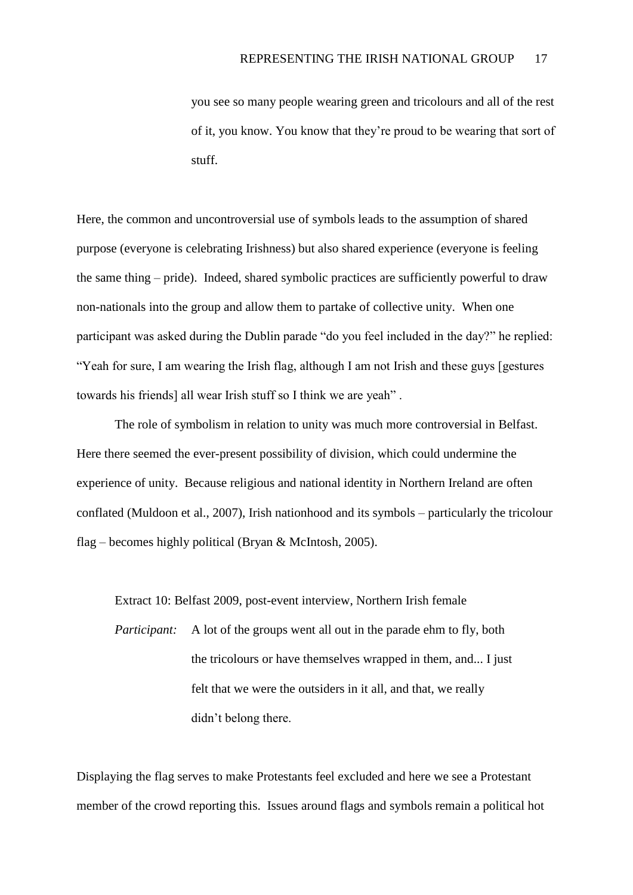you see so many people wearing green and tricolours and all of the rest of it, you know. You know that they're proud to be wearing that sort of stuff.

Here, the common and uncontroversial use of symbols leads to the assumption of shared purpose (everyone is celebrating Irishness) but also shared experience (everyone is feeling the same thing – pride). Indeed, shared symbolic practices are sufficiently powerful to draw non-nationals into the group and allow them to partake of collective unity. When one participant was asked during the Dublin parade "do you feel included in the day?" he replied: "Yeah for sure, I am wearing the Irish flag, although I am not Irish and these guys [gestures towards his friends] all wear Irish stuff so I think we are yeah" .

The role of symbolism in relation to unity was much more controversial in Belfast. Here there seemed the ever-present possibility of division, which could undermine the experience of unity. Because religious and national identity in Northern Ireland are often conflated (Muldoon et al., 2007), Irish nationhood and its symbols – particularly the tricolour flag – becomes highly political (Bryan & McIntosh, 2005).

Extract 10: Belfast 2009, post-event interview, Northern Irish female

*Participant:* A lot of the groups went all out in the parade ehm to fly, both the tricolours or have themselves wrapped in them, and... I just felt that we were the outsiders in it all, and that, we really didn't belong there.

Displaying the flag serves to make Protestants feel excluded and here we see a Protestant member of the crowd reporting this. Issues around flags and symbols remain a political hot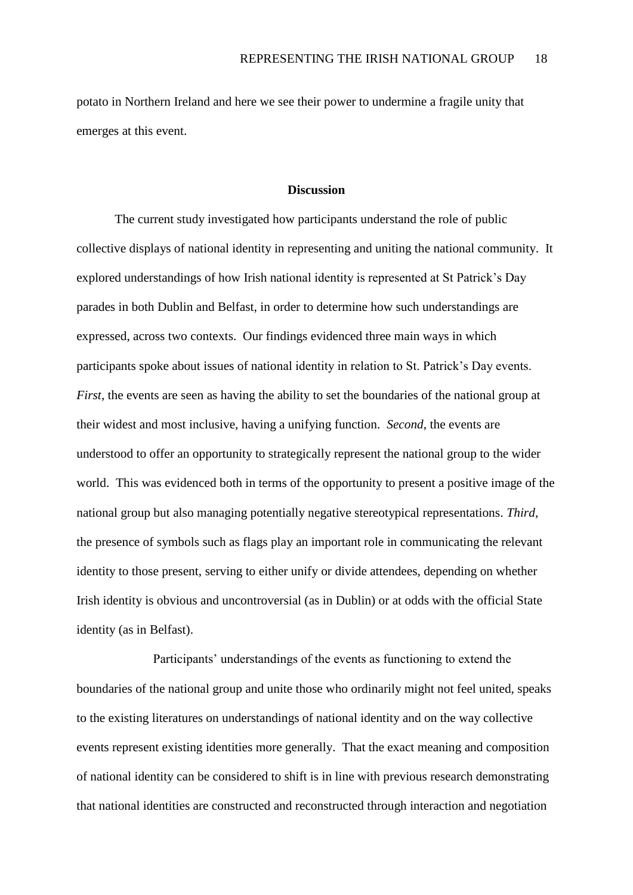potato in Northern Ireland and here we see their power to undermine a fragile unity that emerges at this event.

#### **Discussion**

The current study investigated how participants understand the role of public collective displays of national identity in representing and uniting the national community. It explored understandings of how Irish national identity is represented at St Patrick's Day parades in both Dublin and Belfast, in order to determine how such understandings are expressed, across two contexts. Our findings evidenced three main ways in which participants spoke about issues of national identity in relation to St. Patrick's Day events. *First*, the events are seen as having the ability to set the boundaries of the national group at their widest and most inclusive, having a unifying function. *Second*, the events are understood to offer an opportunity to strategically represent the national group to the wider world. This was evidenced both in terms of the opportunity to present a positive image of the national group but also managing potentially negative stereotypical representations. *Third*, the presence of symbols such as flags play an important role in communicating the relevant identity to those present, serving to either unify or divide attendees, depending on whether Irish identity is obvious and uncontroversial (as in Dublin) or at odds with the official State identity (as in Belfast).

Participants' understandings of the events as functioning to extend the boundaries of the national group and unite those who ordinarily might not feel united, speaks to the existing literatures on understandings of national identity and on the way collective events represent existing identities more generally. That the exact meaning and composition of national identity can be considered to shift is in line with previous research demonstrating that national identities are constructed and reconstructed through interaction and negotiation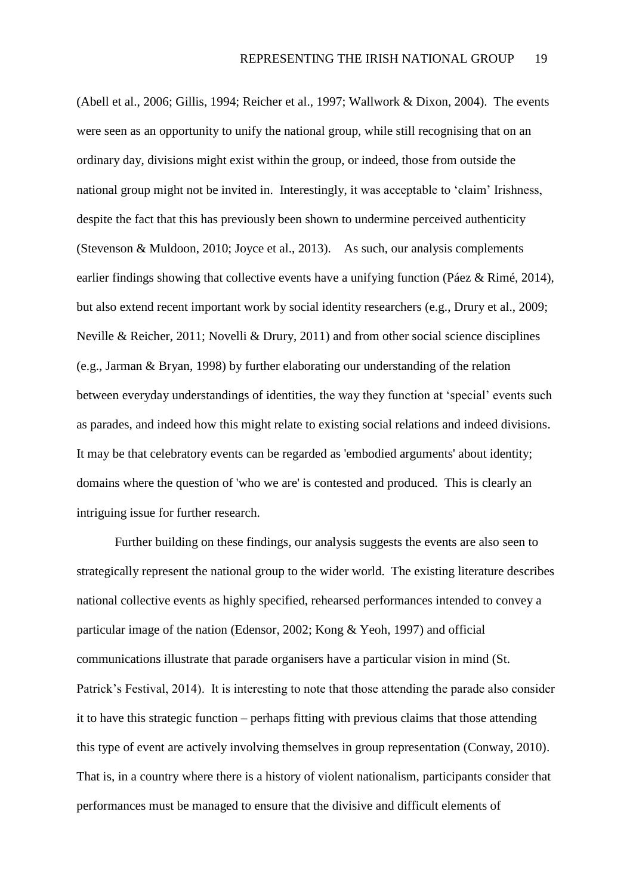(Abell et al., 2006; Gillis, 1994; Reicher et al., 1997; Wallwork & Dixon, 2004). The events were seen as an opportunity to unify the national group, while still recognising that on an ordinary day, divisions might exist within the group, or indeed, those from outside the national group might not be invited in. Interestingly, it was acceptable to 'claim' Irishness, despite the fact that this has previously been shown to undermine perceived authenticity (Stevenson & Muldoon, 2010; Joyce et al., 2013). As such, our analysis complements earlier findings showing that collective events have a unifying function (Páez & Rimé, 2014), but also extend recent important work by social identity researchers (e.g., Drury et al., 2009; Neville & Reicher, 2011; Novelli & Drury, 2011) and from other social science disciplines (e.g., Jarman & Bryan, 1998) by further elaborating our understanding of the relation between everyday understandings of identities, the way they function at 'special' events such as parades, and indeed how this might relate to existing social relations and indeed divisions. It may be that celebratory events can be regarded as 'embodied arguments' about identity; domains where the question of 'who we are' is contested and produced. This is clearly an intriguing issue for further research.

Further building on these findings, our analysis suggests the events are also seen to strategically represent the national group to the wider world. The existing literature describes national collective events as highly specified, rehearsed performances intended to convey a particular image of the nation (Edensor, 2002; Kong & Yeoh, 1997) and official communications illustrate that parade organisers have a particular vision in mind (St. Patrick's Festival, 2014). It is interesting to note that those attending the parade also consider it to have this strategic function – perhaps fitting with previous claims that those attending this type of event are actively involving themselves in group representation (Conway, 2010). That is, in a country where there is a history of violent nationalism, participants consider that performances must be managed to ensure that the divisive and difficult elements of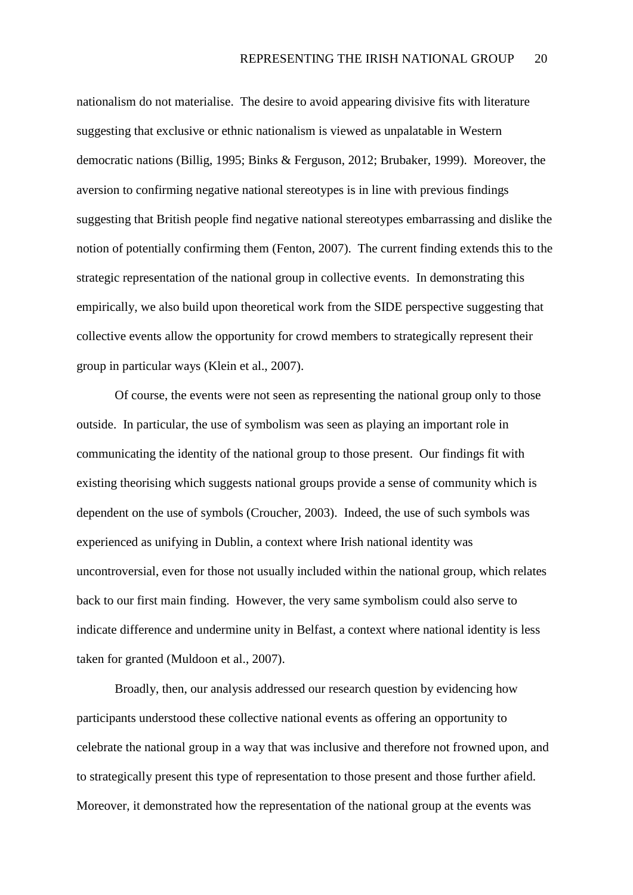nationalism do not materialise. The desire to avoid appearing divisive fits with literature suggesting that exclusive or ethnic nationalism is viewed as unpalatable in Western democratic nations (Billig, 1995; Binks & Ferguson, 2012; Brubaker, 1999). Moreover, the aversion to confirming negative national stereotypes is in line with previous findings suggesting that British people find negative national stereotypes embarrassing and dislike the notion of potentially confirming them (Fenton, 2007). The current finding extends this to the strategic representation of the national group in collective events. In demonstrating this empirically, we also build upon theoretical work from the SIDE perspective suggesting that collective events allow the opportunity for crowd members to strategically represent their group in particular ways (Klein et al., 2007).

Of course, the events were not seen as representing the national group only to those outside. In particular, the use of symbolism was seen as playing an important role in communicating the identity of the national group to those present. Our findings fit with existing theorising which suggests national groups provide a sense of community which is dependent on the use of symbols (Croucher, 2003). Indeed, the use of such symbols was experienced as unifying in Dublin, a context where Irish national identity was uncontroversial, even for those not usually included within the national group, which relates back to our first main finding. However, the very same symbolism could also serve to indicate difference and undermine unity in Belfast, a context where national identity is less taken for granted (Muldoon et al., 2007).

Broadly, then, our analysis addressed our research question by evidencing how participants understood these collective national events as offering an opportunity to celebrate the national group in a way that was inclusive and therefore not frowned upon, and to strategically present this type of representation to those present and those further afield. Moreover, it demonstrated how the representation of the national group at the events was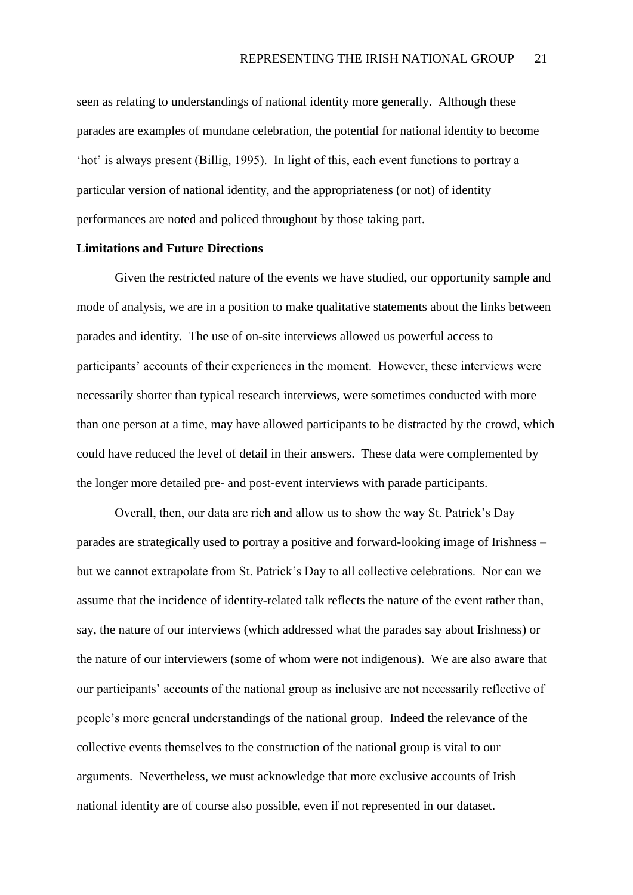seen as relating to understandings of national identity more generally. Although these parades are examples of mundane celebration, the potential for national identity to become 'hot' is always present (Billig, 1995). In light of this, each event functions to portray a particular version of national identity, and the appropriateness (or not) of identity performances are noted and policed throughout by those taking part.

#### **Limitations and Future Directions**

Given the restricted nature of the events we have studied, our opportunity sample and mode of analysis, we are in a position to make qualitative statements about the links between parades and identity. The use of on-site interviews allowed us powerful access to participants' accounts of their experiences in the moment. However, these interviews were necessarily shorter than typical research interviews, were sometimes conducted with more than one person at a time, may have allowed participants to be distracted by the crowd, which could have reduced the level of detail in their answers. These data were complemented by the longer more detailed pre- and post-event interviews with parade participants.

Overall, then, our data are rich and allow us to show the way St. Patrick's Day parades are strategically used to portray a positive and forward-looking image of Irishness – but we cannot extrapolate from St. Patrick's Day to all collective celebrations. Nor can we assume that the incidence of identity-related talk reflects the nature of the event rather than, say, the nature of our interviews (which addressed what the parades say about Irishness) or the nature of our interviewers (some of whom were not indigenous). We are also aware that our participants' accounts of the national group as inclusive are not necessarily reflective of people's more general understandings of the national group. Indeed the relevance of the collective events themselves to the construction of the national group is vital to our arguments. Nevertheless, we must acknowledge that more exclusive accounts of Irish national identity are of course also possible, even if not represented in our dataset.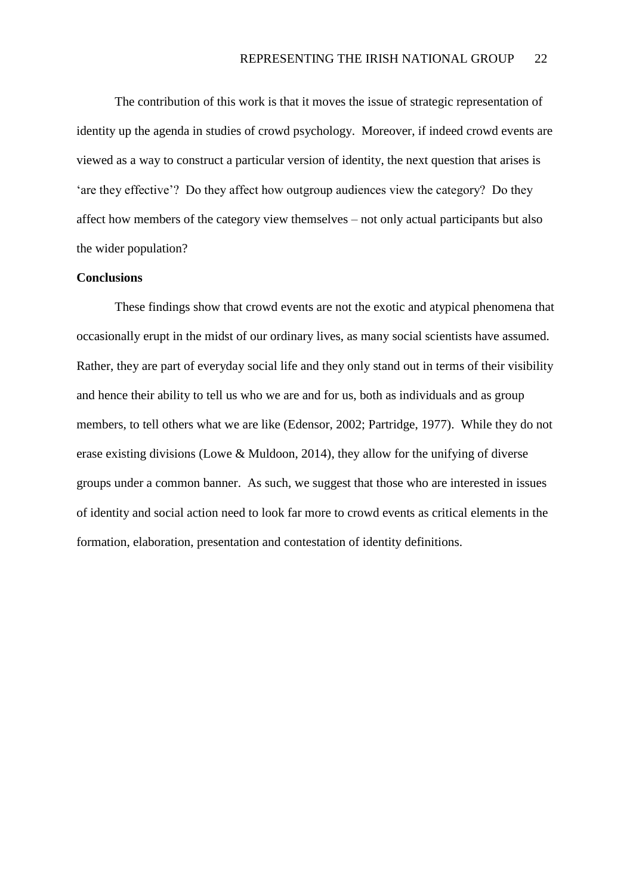The contribution of this work is that it moves the issue of strategic representation of identity up the agenda in studies of crowd psychology. Moreover, if indeed crowd events are viewed as a way to construct a particular version of identity, the next question that arises is 'are they effective'? Do they affect how outgroup audiences view the category? Do they affect how members of the category view themselves – not only actual participants but also the wider population?

## **Conclusions**

These findings show that crowd events are not the exotic and atypical phenomena that occasionally erupt in the midst of our ordinary lives, as many social scientists have assumed. Rather, they are part of everyday social life and they only stand out in terms of their visibility and hence their ability to tell us who we are and for us, both as individuals and as group members, to tell others what we are like (Edensor, 2002; Partridge, 1977). While they do not erase existing divisions (Lowe & Muldoon, 2014), they allow for the unifying of diverse groups under a common banner. As such, we suggest that those who are interested in issues of identity and social action need to look far more to crowd events as critical elements in the formation, elaboration, presentation and contestation of identity definitions.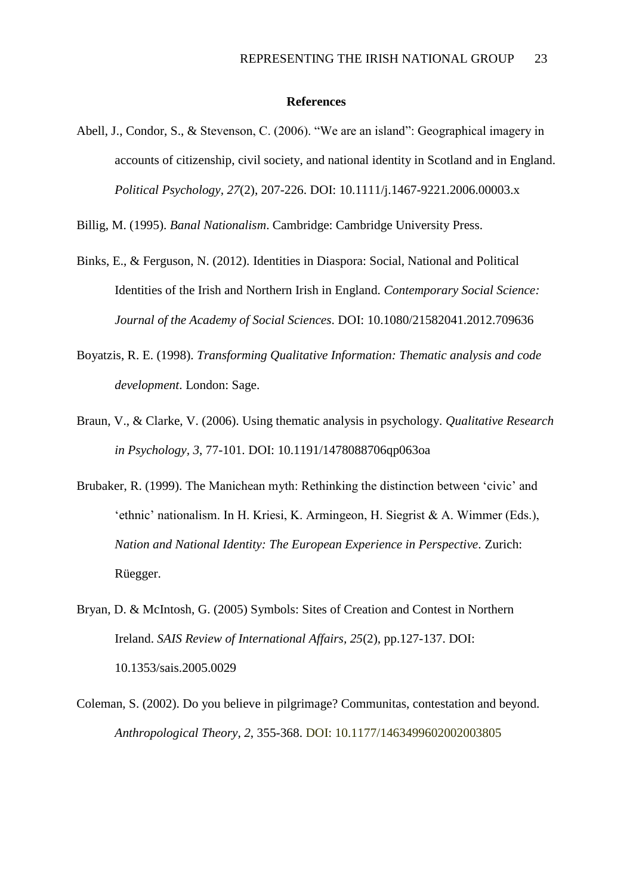## **References**

Abell, J., Condor, S., & Stevenson, C. (2006). "We are an island": Geographical imagery in accounts of citizenship, civil society, and national identity in Scotland and in England. *Political Psychology, 27*(2), 207-226. DOI: 10.1111/j.1467-9221.2006.00003.x

Billig, M. (1995). *Banal Nationalism*. Cambridge: Cambridge University Press.

- Binks, E., & Ferguson, N. (2012). Identities in Diaspora: Social, National and Political Identities of the Irish and Northern Irish in England. *Contemporary Social Science: Journal of the Academy of Social Sciences*. DOI: 10.1080/21582041.2012.709636
- Boyatzis, R. E. (1998). *Transforming Qualitative Information: Thematic analysis and code development*. London: Sage.
- Braun, V., & Clarke, V. (2006). Using thematic analysis in psychology. *Qualitative Research in Psychology, 3*, 77-101. DOI: 10.1191/1478088706qp063oa
- Brubaker, R. (1999). The Manichean myth: Rethinking the distinction between 'civic' and 'ethnic' nationalism. In H. Kriesi, K. Armingeon, H. Siegrist & A. Wimmer (Eds.), *Nation and National Identity: The European Experience in Perspective*. Zurich: Rüegger.
- Bryan, D. & McIntosh, G. (2005) Symbols: Sites of Creation and Contest in Northern Ireland. *SAIS Review of International Affairs, 25*(2), pp.127-137. DOI: 10.1353/sais.2005.0029
- Coleman, S. (2002). Do you believe in pilgrimage? Communitas, contestation and beyond. *Anthropological Theory, 2*, 355-368. DOI: 10.1177/1463499602002003805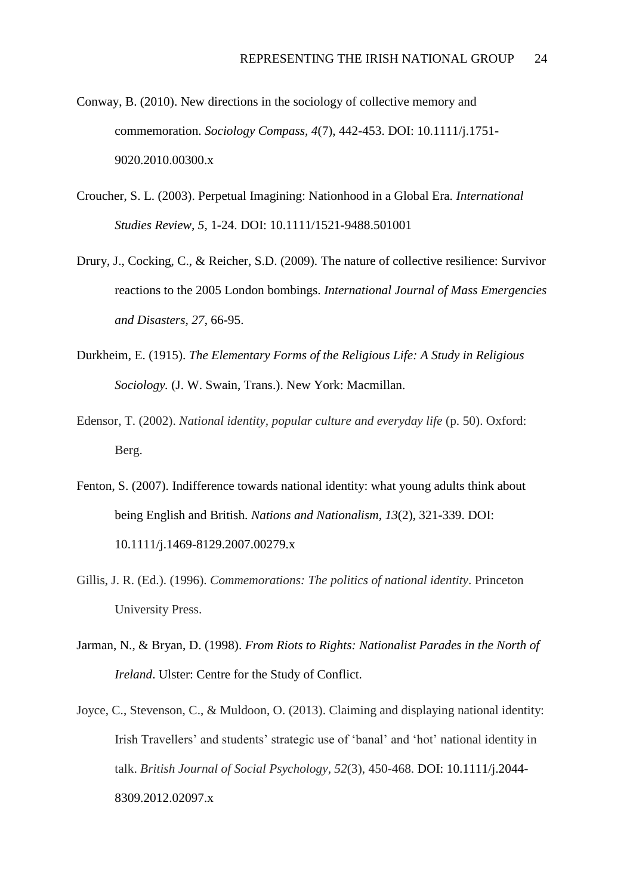- Conway, B. (2010). New directions in the sociology of collective memory and commemoration. *Sociology Compass, 4*(7), 442-453. DOI: 10.1111/j.1751- 9020.2010.00300.x
- Croucher, S. L. (2003). Perpetual Imagining: Nationhood in a Global Era. *International Studies Review, 5*, 1-24. DOI: 10.1111/1521-9488.501001
- Drury, J., Cocking, C., & Reicher, S.D. (2009). The nature of collective resilience: Survivor reactions to the 2005 London bombings. *International Journal of Mass Emergencies and Disasters, 27*, 66-95.
- Durkheim, E. (1915). *The Elementary Forms of the Religious Life: A Study in Religious Sociology.* (J. W. Swain, Trans.). New York: Macmillan.
- Edensor, T. (2002). *National identity, popular culture and everyday life* (p. 50). Oxford: Berg.
- Fenton, S. (2007). Indifference towards national identity: what young adults think about being English and British. *Nations and Nationalism, 13*(2), 321-339. DOI: 10.1111/j.1469-8129.2007.00279.x
- Gillis, J. R. (Ed.). (1996). *Commemorations: The politics of national identity*. Princeton University Press.
- Jarman, N., & Bryan, D. (1998). *From Riots to Rights: Nationalist Parades in the North of Ireland*. Ulster: Centre for the Study of Conflict.
- Joyce, C., Stevenson, C., & Muldoon, O. (2013). Claiming and displaying national identity: Irish Travellers' and students' strategic use of 'banal' and 'hot' national identity in talk. *British Journal of Social Psychology, 52*(3), 450-468. DOI: 10.1111/j.2044- 8309.2012.02097.x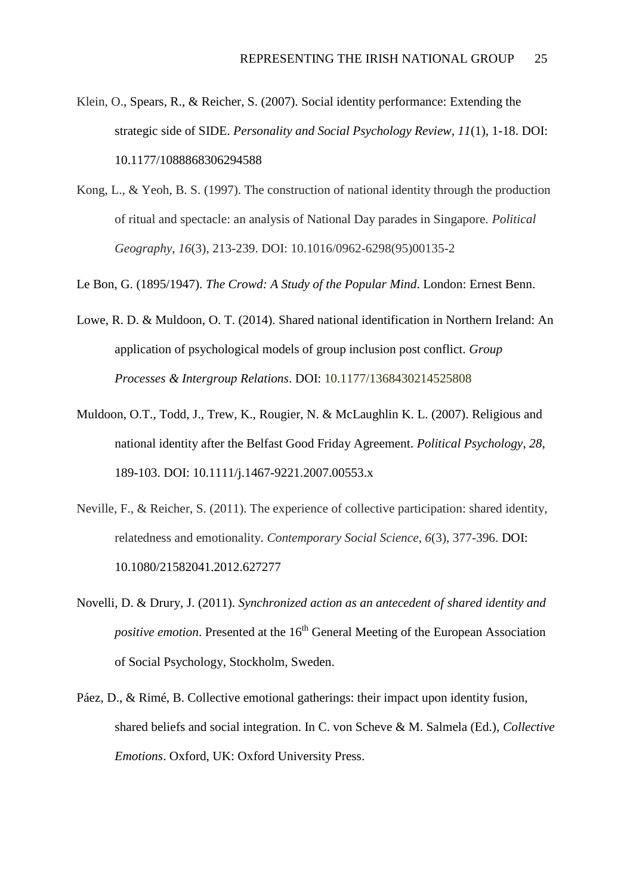- Klein, O., Spears, R., & Reicher, S. (2007). Social identity performance: Extending the strategic side of SIDE. *Personality and Social Psychology Review, 11*(1), 1-18. DOI: 10.1177/1088868306294588
- Kong, L., & Yeoh, B. S. (1997). The construction of national identity through the production of ritual and spectacle: an analysis of National Day parades in Singapore. *Political Geography*, *16*(3), 213-239. DOI: 10.1016/0962-6298(95)00135-2

Le Bon, G. (1895/1947). *The Crowd: A Study of the Popular Mind*. London: Ernest Benn.

- Lowe, R. D. & Muldoon, O. T. (2014). Shared national identification in Northern Ireland: An application of psychological models of group inclusion post conflict. *Group Processes & Intergroup Relations*. DOI: 10.1177/1368430214525808
- Muldoon, O.T., Todd, J., Trew, K., Rougier, N. & McLaughlin K. L. (2007). Religious and national identity after the Belfast Good Friday Agreement. *Political Psychology*, *28*, 189-103. DOI: 10.1111/j.1467-9221.2007.00553.x
- Neville, F., & Reicher, S. (2011). The experience of collective participation: shared identity, relatedness and emotionality. *Contemporary Social Science*, *6*(3), 377-396. DOI: 10.1080/21582041.2012.627277
- Novelli, D. & Drury, J. (2011). *Synchronized action as an antecedent of shared identity and positive emotion*. Presented at the 16<sup>th</sup> General Meeting of the European Association of Social Psychology, Stockholm, Sweden.
- Páez, D., & Rimé, B. Collective emotional gatherings: their impact upon identity fusion, shared beliefs and social integration. In C. von Scheve & M. Salmela (Ed.), *Collective Emotions*. Oxford, UK: Oxford University Press.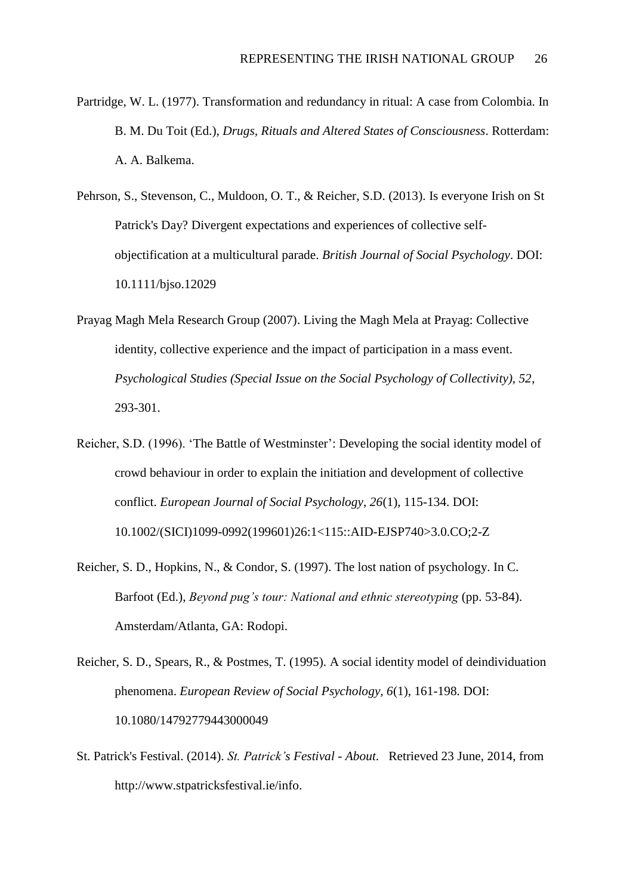- Partridge, W. L. (1977). Transformation and redundancy in ritual: A case from Colombia. In B. M. Du Toit (Ed.), *Drugs, Rituals and Altered States of Consciousness*. Rotterdam: A. A. Balkema.
- Pehrson, S., Stevenson, C., Muldoon, O. T., & Reicher, S.D. (2013). Is everyone Irish on St Patrick's Day? Divergent expectations and experiences of collective selfobjectification at a multicultural parade. *British Journal of Social Psychology*. DOI: 10.1111/bjso.12029
- Prayag Magh Mela Research Group (2007). Living the Magh Mela at Prayag: Collective identity, collective experience and the impact of participation in a mass event. *Psychological Studies (Special Issue on the Social Psychology of Collectivity), 52*, 293-301.
- Reicher, S.D. (1996). 'The Battle of Westminster': Developing the social identity model of crowd behaviour in order to explain the initiation and development of collective conflict. *European Journal of Social Psychology, 26*(1), 115-134. DOI: 10.1002/(SICI)1099-0992(199601)26:1<115::AID-EJSP740>3.0.CO;2-Z
- Reicher, S. D., Hopkins, N., & Condor, S. (1997). The lost nation of psychology. In C. Barfoot (Ed.), *Beyond pug's tour: National and ethnic stereotyping* (pp. 53-84). Amsterdam/Atlanta, GA: Rodopi.
- Reicher, S. D., Spears, R., & Postmes, T. (1995). A social identity model of deindividuation phenomena. *European Review of Social Psychology, 6*(1), 161-198. DOI: 10.1080/14792779443000049
- St. Patrick's Festival. (2014). *St. Patrick's Festival - About*. Retrieved 23 June, 2014, from http://www.stpatricksfestival.ie/info.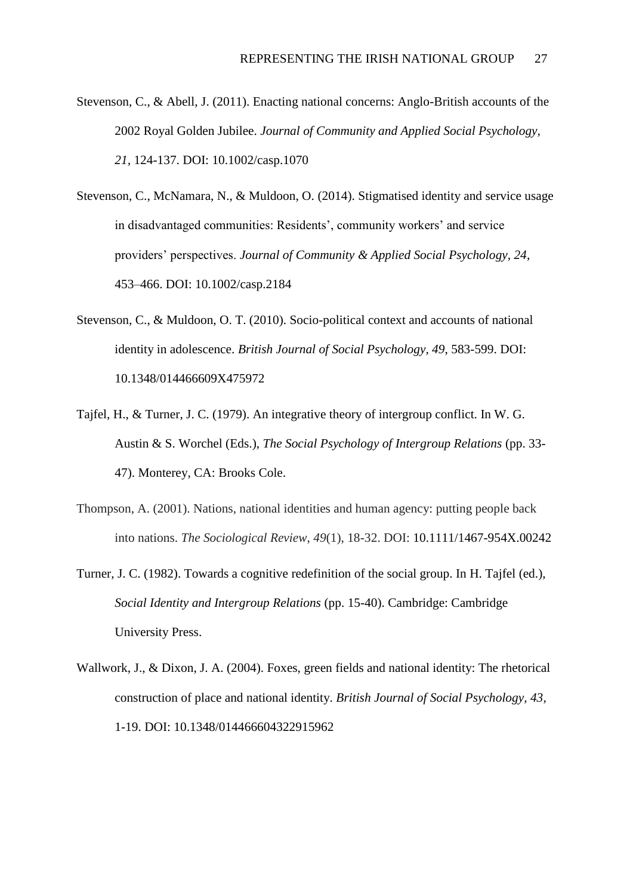- Stevenson, C., & Abell, J. (2011). Enacting national concerns: Anglo-British accounts of the 2002 Royal Golden Jubilee. *Journal of Community and Applied Social Psychology, 21,* 124-137. DOI: 10.1002/casp.1070
- Stevenson, C., McNamara, N., & Muldoon, O. (2014). Stigmatised identity and service usage in disadvantaged communities: Residents', community workers' and service providers' perspectives. *Journal of Community & Applied Social Psychology, 24*, 453–466. DOI: 10.1002/casp.2184
- Stevenson, C., & Muldoon, O. T. (2010). Socio-political context and accounts of national identity in adolescence. *British Journal of Social Psychology, 49*, 583-599. DOI: 10.1348/014466609X475972
- Tajfel, H., & Turner, J. C. (1979). An integrative theory of intergroup conflict. In W. G. Austin & S. Worchel (Eds.), *The Social Psychology of Intergroup Relations* (pp. 33- 47). Monterey, CA: Brooks Cole.
- Thompson, A. (2001). Nations, national identities and human agency: putting people back into nations. *The Sociological Review*, *49*(1), 18-32. DOI: 10.1111/1467-954X.00242
- Turner, J. C. (1982). Towards a cognitive redefinition of the social group. In H. Tajfel (ed.), *Social Identity and Intergroup Relations* (pp. 15-40). Cambridge: Cambridge University Press.
- Wallwork, J., & Dixon, J. A. (2004). Foxes, green fields and national identity: The rhetorical construction of place and national identity. *British Journal of Social Psychology, 43*, 1-19. DOI: 10.1348/014466604322915962